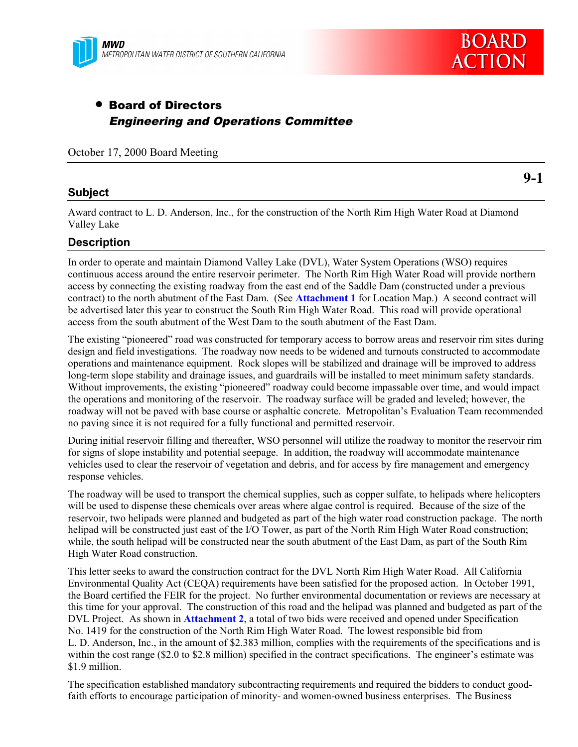

# • Board of Directors Engineering and Operations Committee

October 17, 2000 Board Meeting

## **Subject**

**9-1**

Award contract to L. D. Anderson, Inc., for the construction of the North Rim High Water Road at Diamond Valley Lake

# **Description**

In order to operate and maintain Diamond Valley Lake (DVL), Water System Operations (WSO) requires continuous access around the entire reservoir perimeter. The North Rim High Water Road will provide northern access by connecting the existing roadway from the east end of the Saddle Dam (constructed under a previous contract) to the north abutment of the East Dam. (See **Attachment 1** for Location Map.) A second contract will be advertised later this year to construct the South Rim High Water Road. This road will provide operational access from the south abutment of the West Dam to the south abutment of the East Dam.

The existing "pioneered" road was constructed for temporary access to borrow areas and reservoir rim sites during design and field investigations. The roadway now needs to be widened and turnouts constructed to accommodate operations and maintenance equipment. Rock slopes will be stabilized and drainage will be improved to address long-term slope stability and drainage issues, and guardrails will be installed to meet minimum safety standards. Without improvements, the existing "pioneered" roadway could become impassable over time, and would impact the operations and monitoring of the reservoir. The roadway surface will be graded and leveled; however, the roadway will not be paved with base course or asphaltic concrete. Metropolitan's Evaluation Team recommended no paving since it is not required for a fully functional and permitted reservoir.

During initial reservoir filling and thereafter, WSO personnel will utilize the roadway to monitor the reservoir rim for signs of slope instability and potential seepage. In addition, the roadway will accommodate maintenance vehicles used to clear the reservoir of vegetation and debris, and for access by fire management and emergency response vehicles.

The roadway will be used to transport the chemical supplies, such as copper sulfate, to helipads where helicopters will be used to dispense these chemicals over areas where algae control is required. Because of the size of the reservoir, two helipads were planned and budgeted as part of the high water road construction package. The north helipad will be constructed just east of the I/O Tower, as part of the North Rim High Water Road construction; while, the south helipad will be constructed near the south abutment of the East Dam, as part of the South Rim High Water Road construction.

This letter seeks to award the construction contract for the DVL North Rim High Water Road. All California Environmental Quality Act (CEQA) requirements have been satisfied for the proposed action. In October 1991, the Board certified the FEIR for the project. No further environmental documentation or reviews are necessary at this time for your approval. The construction of this road and the helipad was planned and budgeted as part of the DVL Project. As shown in **Attachment 2**, a total of two bids were received and opened under Specification No. 1419 for the construction of the North Rim High Water Road. The lowest responsible bid from L. D. Anderson, Inc., in the amount of \$2.383 million, complies with the requirements of the specifications and is within the cost range (\$2.0 to \$2.8 million) specified in the contract specifications. The engineer's estimate was \$1.9 million.

The specification established mandatory subcontracting requirements and required the bidders to conduct goodfaith efforts to encourage participation of minority- and women-owned business enterprises. The Business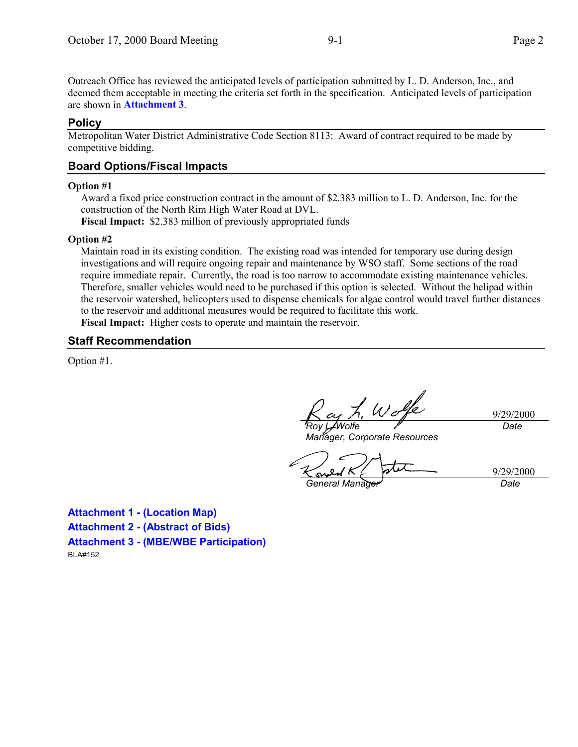Outreach Office has reviewed the anticipated levels of participation submitted by L. D. Anderson, Inc., and deemed them acceptable in meeting the criteria set forth in the specification. Anticipated levels of participation are shown in **Attachment 3**.

#### **Policy**

Metropolitan Water District Administrative Code Section 8113: Award of contract required to be made by competitive bidding.

## **Board Options/Fiscal Impacts**

#### **Option #1**

Award a fixed price construction contract in the amount of \$2.383 million to L. D. Anderson, Inc. for the construction of the North Rim High Water Road at DVL.

**Fiscal Impact:** \$2.383 million of previously appropriated funds

#### **Option #2**

Maintain road in its existing condition. The existing road was intended for temporary use during design investigations and will require ongoing repair and maintenance by WSO staff. Some sections of the road require immediate repair. Currently, the road is too narrow to accommodate existing maintenance vehicles. Therefore, smaller vehicles would need to be purchased if this option is selected. Without the helipad within the reservoir watershed, helicopters used to dispense chemicals for algae control would travel further distances to the reservoir and additional measures would be required to facilitate this work. **Fiscal Impact:** Higher costs to operate and maintain the reservoir.

### **Staff Recommendation**

Option #1.

Wolfe *Roy L. Wolfe*

9/29/2000 *Date*

*Manager, Corporate Resources*

*General Manager Date*

9/29/2000

**Attachment 1 - (Location Map) Attachment 2 - (Abstract of Bids) Attachment 3 - (MBE/WBE Participation)** BLA#152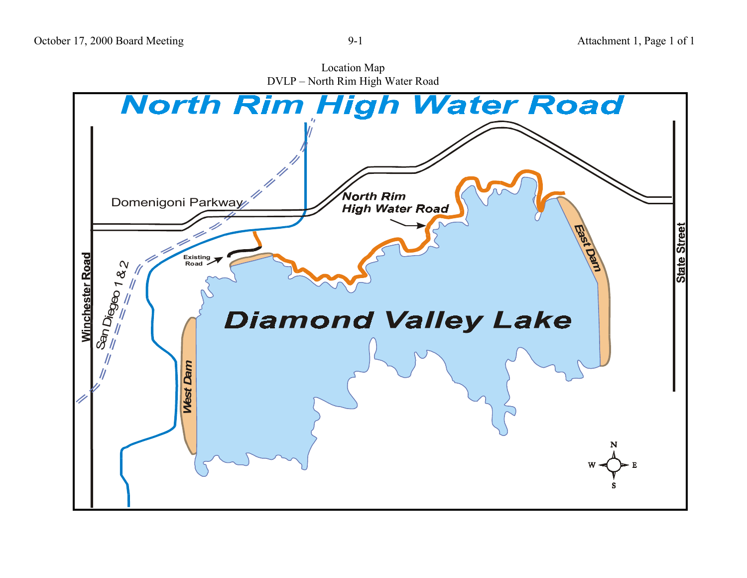

Location Map DVLP – North Rim High Water Road

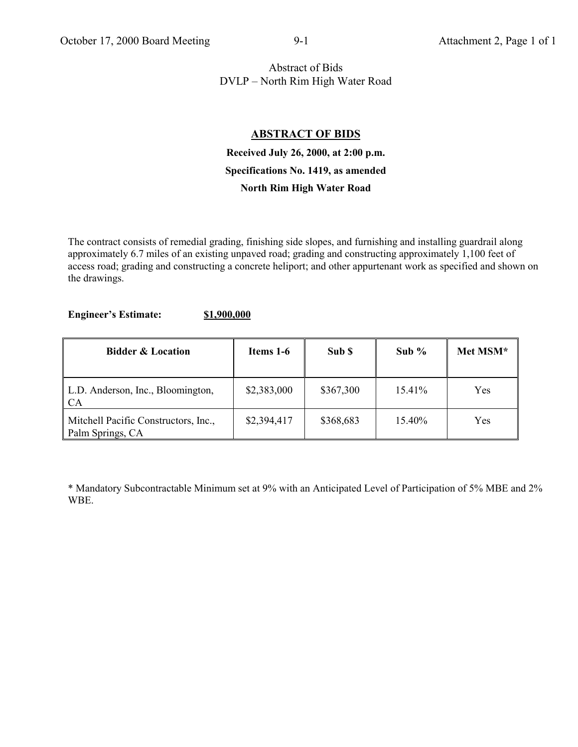# Abstract of Bids DVLP – North Rim High Water Road

# **ABSTRACT OF BIDS**

# **Received July 26, 2000, at 2:00 p.m. Specifications No. 1419, as amended North Rim High Water Road**

The contract consists of remedial grading, finishing side slopes, and furnishing and installing guardrail along approximately 6.7 miles of an existing unpaved road; grading and constructing approximately 1,100 feet of access road; grading and constructing a concrete heliport; and other appurtenant work as specified and shown on the drawings.

### **Engineer's Estimate: \$1,900,000**

| <b>Bidder &amp; Location</b>                             | Items 1-6   | Sub \$    | Sub $%$   | Met MSM* |
|----------------------------------------------------------|-------------|-----------|-----------|----------|
| L.D. Anderson, Inc., Bloomington,<br><b>CA</b>           | \$2,383,000 | \$367,300 | 15.41%    | Yes      |
| Mitchell Pacific Constructors, Inc.,<br>Palm Springs, CA | \$2,394,417 | \$368,683 | $15.40\%$ | Yes      |

\* Mandatory Subcontractable Minimum set at 9% with an Anticipated Level of Participation of 5% MBE and 2% WBE.